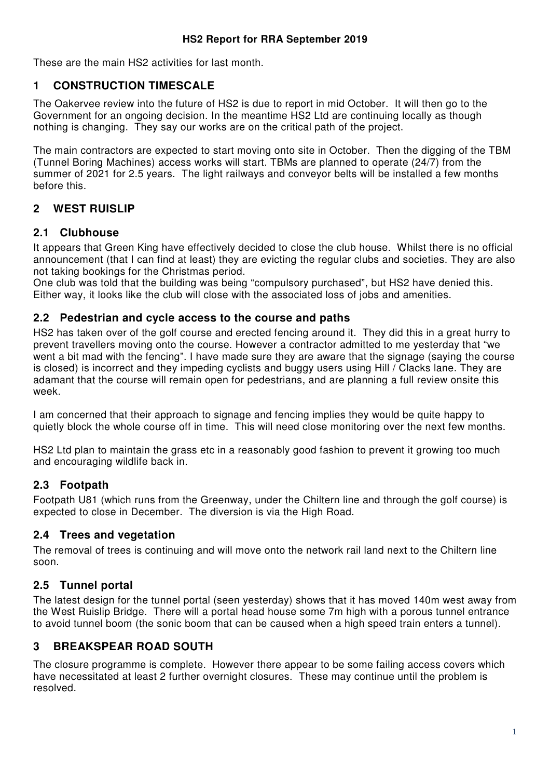These are the main HS2 activities for last month.

### **1 CONSTRUCTION TIMESCALE**

The Oakervee review into the future of HS2 is due to report in mid October. It will then go to the Government for an ongoing decision. In the meantime HS2 Ltd are continuing locally as though nothing is changing. They say our works are on the critical path of the project.

The main contractors are expected to start moving onto site in October. Then the digging of the TBM (Tunnel Boring Machines) access works will start. TBMs are planned to operate (24/7) from the summer of 2021 for 2.5 years. The light railways and conveyor belts will be installed a few months before this.

## **2 WEST RUISLIP**

#### **2.1 Clubhouse**

It appears that Green King have effectively decided to close the club house. Whilst there is no official announcement (that I can find at least) they are evicting the regular clubs and societies. They are also not taking bookings for the Christmas period.

One club was told that the building was being "compulsory purchased", but HS2 have denied this. Either way, it looks like the club will close with the associated loss of jobs and amenities.

#### **2.2 Pedestrian and cycle access to the course and paths**

HS2 has taken over of the golf course and erected fencing around it. They did this in a great hurry to prevent travellers moving onto the course. However a contractor admitted to me yesterday that "we went a bit mad with the fencing". I have made sure they are aware that the signage (saying the course is closed) is incorrect and they impeding cyclists and buggy users using Hill / Clacks lane. They are adamant that the course will remain open for pedestrians, and are planning a full review onsite this week.

I am concerned that their approach to signage and fencing implies they would be quite happy to quietly block the whole course off in time. This will need close monitoring over the next few months.

HS2 Ltd plan to maintain the grass etc in a reasonably good fashion to prevent it growing too much and encouraging wildlife back in.

### **2.3 Footpath**

Footpath U81 (which runs from the Greenway, under the Chiltern line and through the golf course) is expected to close in December. The diversion is via the High Road.

#### **2.4 Trees and vegetation**

The removal of trees is continuing and will move onto the network rail land next to the Chiltern line soon.

### **2.5 Tunnel portal**

The latest design for the tunnel portal (seen yesterday) shows that it has moved 140m west away from the West Ruislip Bridge. There will a portal head house some 7m high with a porous tunnel entrance to avoid tunnel boom (the sonic boom that can be caused when a high speed train enters a tunnel).

### **3 BREAKSPEAR ROAD SOUTH**

The closure programme is complete. However there appear to be some failing access covers which have necessitated at least 2 further overnight closures. These may continue until the problem is resolved.